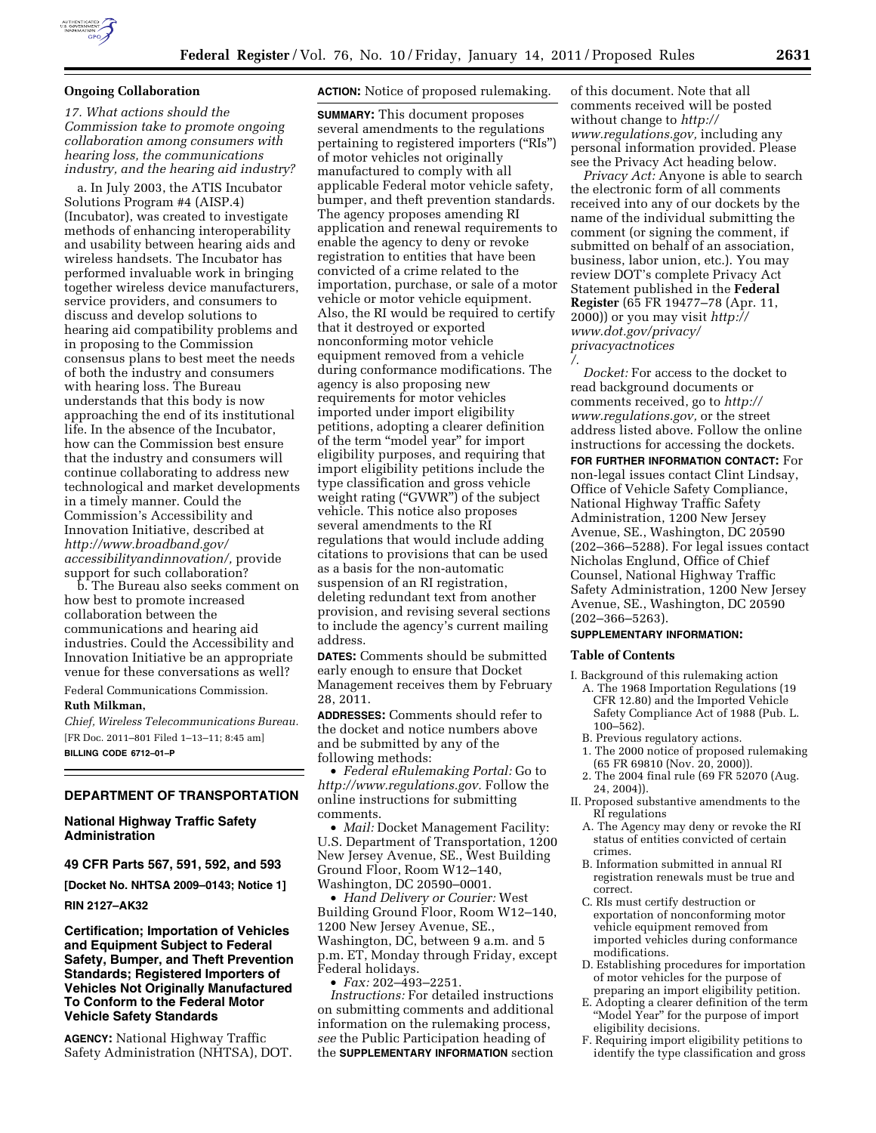

### **Ongoing Collaboration**

*17. What actions should the Commission take to promote ongoing collaboration among consumers with hearing loss, the communications industry, and the hearing aid industry?* 

a. In July 2003, the ATIS Incubator Solutions Program #4 (AISP.4) (Incubator), was created to investigate methods of enhancing interoperability and usability between hearing aids and wireless handsets. The Incubator has performed invaluable work in bringing together wireless device manufacturers, service providers, and consumers to discuss and develop solutions to hearing aid compatibility problems and in proposing to the Commission consensus plans to best meet the needs of both the industry and consumers with hearing loss. The Bureau understands that this body is now approaching the end of its institutional life. In the absence of the Incubator, how can the Commission best ensure that the industry and consumers will continue collaborating to address new technological and market developments in a timely manner. Could the Commission's Accessibility and Innovation Initiative, described at *[http://www.broadband.gov/](http://www.broadband.gov/accessibilityandinnovation/)  [accessibilityandinnovation/,](http://www.broadband.gov/accessibilityandinnovation/)* provide support for such collaboration?

b. The Bureau also seeks comment on how best to promote increased collaboration between the communications and hearing aid industries. Could the Accessibility and Innovation Initiative be an appropriate venue for these conversations as well?

Federal Communications Commission.

### **Ruth Milkman,**

*Chief, Wireless Telecommunications Bureau.*  [FR Doc. 2011–801 Filed 1–13–11; 8:45 am] **BILLING CODE 6712–01–P** 

## **DEPARTMENT OF TRANSPORTATION**

**National Highway Traffic Safety Administration** 

**49 CFR Parts 567, 591, 592, and 593** 

**[Docket No. NHTSA 2009–0143; Notice 1]** 

**RIN 2127–AK32** 

**Certification; Importation of Vehicles and Equipment Subject to Federal Safety, Bumper, and Theft Prevention Standards; Registered Importers of Vehicles Not Originally Manufactured To Conform to the Federal Motor Vehicle Safety Standards** 

**AGENCY:** National Highway Traffic Safety Administration (NHTSA), DOT.

## **ACTION:** Notice of proposed rulemaking.

**SUMMARY:** This document proposes several amendments to the regulations pertaining to registered importers (''RIs'') of motor vehicles not originally manufactured to comply with all applicable Federal motor vehicle safety, bumper, and theft prevention standards. The agency proposes amending RI application and renewal requirements to enable the agency to deny or revoke registration to entities that have been convicted of a crime related to the importation, purchase, or sale of a motor vehicle or motor vehicle equipment. Also, the RI would be required to certify that it destroyed or exported nonconforming motor vehicle equipment removed from a vehicle during conformance modifications. The agency is also proposing new requirements for motor vehicles imported under import eligibility petitions, adopting a clearer definition of the term ''model year'' for import eligibility purposes, and requiring that import eligibility petitions include the type classification and gross vehicle weight rating ("GVWR") of the subject vehicle. This notice also proposes several amendments to the RI regulations that would include adding citations to provisions that can be used as a basis for the non-automatic suspension of an RI registration, deleting redundant text from another provision, and revising several sections to include the agency's current mailing address.

**DATES:** Comments should be submitted early enough to ensure that Docket Management receives them by February 28, 2011.

**ADDRESSES:** Comments should refer to the docket and notice numbers above and be submitted by any of the following methods:

• *Federal eRulemaking Portal:* Go to *[http://www.regulations.gov.](http://www.regulations.gov)* Follow the online instructions for submitting comments.

• *Mail:* Docket Management Facility: U.S. Department of Transportation, 1200 New Jersey Avenue, SE., West Building Ground Floor, Room W12–140, Washington, DC 20590–0001.

• *Hand Delivery or Courier:* West Building Ground Floor, Room W12–140, 1200 New Jersey Avenue, SE., Washington, DC, between 9 a.m. and 5 p.m. ET, Monday through Friday, except Federal holidays.

• *Fax:* 202–493–2251.

*Instructions:* For detailed instructions on submitting comments and additional information on the rulemaking process, *see* the Public Participation heading of the **SUPPLEMENTARY INFORMATION** section

of this document. Note that all comments received will be posted without change to *[http://](http://www.regulations.gov) [www.regulations.gov,](http://www.regulations.gov)* including any personal information provided. Please see the Privacy Act heading below.

*Privacy Act:* Anyone is able to search the electronic form of all comments received into any of our dockets by the name of the individual submitting the comment (or signing the comment, if submitted on behalf of an association, business, labor union, etc.). You may review DOT's complete Privacy Act Statement published in the **Federal Register** (65 FR 19477–78 (Apr. 11, 2000)) or you may visit *[http://](http://www.dot.gov/privacy/privacyactnotices/) [www.dot.gov/privacy/](http://www.dot.gov/privacy/privacyactnotices/)  [privacyactnotices](http://www.dot.gov/privacy/privacyactnotices/)  [/.](http://www.dot.gov/privacy/privacyactnotices/)* 

*Docket:* For access to the docket to read background documents or comments received, go to *[http://](http://www.regulations.gov)  [www.regulations.gov,](http://www.regulations.gov)* or the street address listed above. Follow the online instructions for accessing the dockets. **FOR FURTHER INFORMATION CONTACT:** For non-legal issues contact Clint Lindsay, Office of Vehicle Safety Compliance, National Highway Traffic Safety Administration, 1200 New Jersey Avenue, SE., Washington, DC 20590 (202–366–5288). For legal issues contact Nicholas Englund, Office of Chief Counsel, National Highway Traffic Safety Administration, 1200 New Jersey Avenue, SE., Washington, DC 20590 (202–366–5263).

### **SUPPLEMENTARY INFORMATION:**

#### **Table of Contents**

- I. Background of this rulemaking action A. The 1968 Importation Regulations (19 CFR 12.80) and the Imported Vehicle Safety Compliance Act of 1988 (Pub. L. 100–562).
	- B. Previous regulatory actions.
- 1. The 2000 notice of proposed rulemaking (65 FR 69810 (Nov. 20, 2000)).
- 2. The 2004 final rule (69 FR 52070 (Aug. 24, 2004)).
- II. Proposed substantive amendments to the RI regulations
	- A. The Agency may deny or revoke the RI status of entities convicted of certain crimes.
	- B. Information submitted in annual RI registration renewals must be true and correct.
	- C. RIs must certify destruction or exportation of nonconforming motor vehicle equipment removed from imported vehicles during conformance modifications.
	- D. Establishing procedures for importation of motor vehicles for the purpose of preparing an import eligibility petition.
	- E. Adopting a clearer definition of the term "Model Year" for the purpose of import eligibility decisions.
	- F. Requiring import eligibility petitions to identify the type classification and gross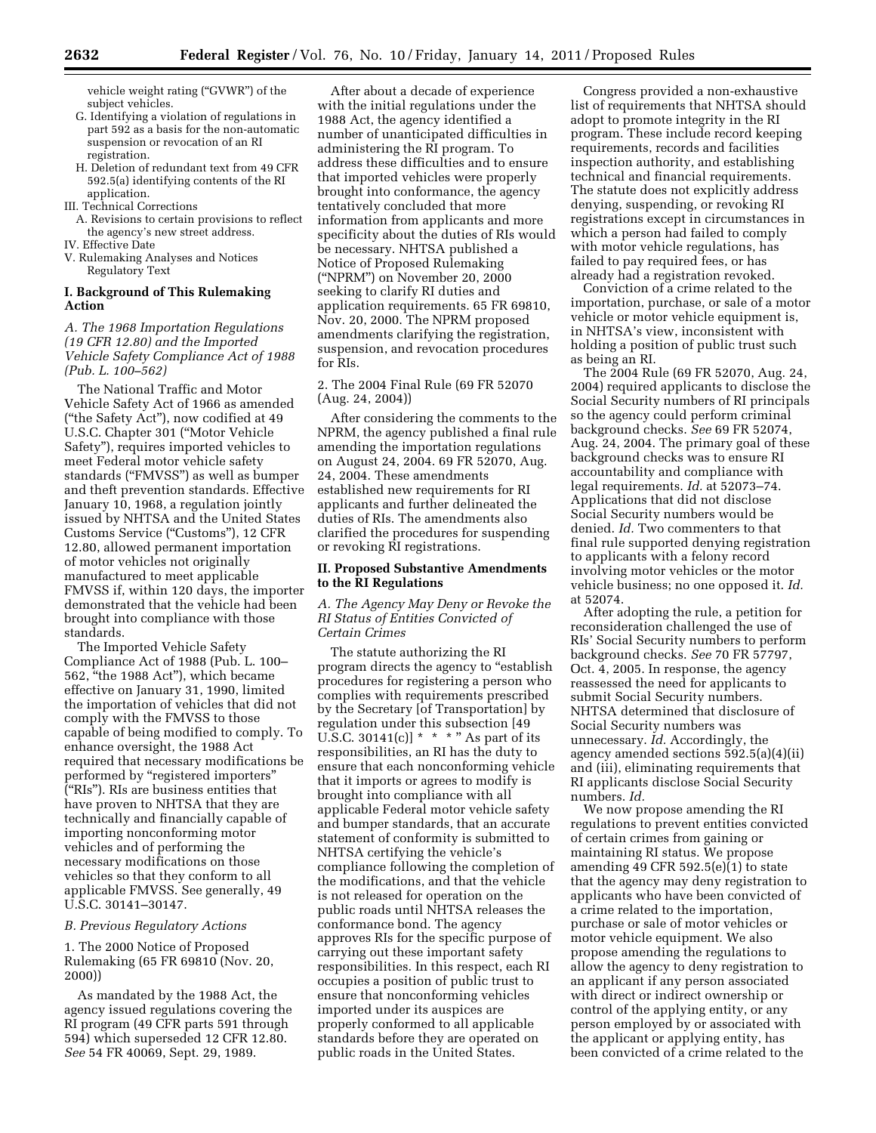vehicle weight rating ("GVWR") of the subject vehicles.

- G. Identifying a violation of regulations in part 592 as a basis for the non-automatic suspension or revocation of an RI registration.
- H. Deletion of redundant text from 49 CFR 592.5(a) identifying contents of the RI application.
- III. Technical Corrections
- A. Revisions to certain provisions to reflect the agency's new street address.
- IV. Effective Date
- V. Rulemaking Analyses and Notices Regulatory Text

## **I. Background of This Rulemaking Action**

# *A. The 1968 Importation Regulations (19 CFR 12.80) and the Imported Vehicle Safety Compliance Act of 1988 (Pub. L. 100–562)*

The National Traffic and Motor Vehicle Safety Act of 1966 as amended (''the Safety Act''), now codified at 49 U.S.C. Chapter 301 (''Motor Vehicle Safety''), requires imported vehicles to meet Federal motor vehicle safety standards (''FMVSS'') as well as bumper and theft prevention standards. Effective January 10, 1968, a regulation jointly issued by NHTSA and the United States Customs Service (''Customs''), 12 CFR 12.80, allowed permanent importation of motor vehicles not originally manufactured to meet applicable FMVSS if, within 120 days, the importer demonstrated that the vehicle had been brought into compliance with those standards.

The Imported Vehicle Safety Compliance Act of 1988 (Pub. L. 100– 562, ''the 1988 Act''), which became effective on January 31, 1990, limited the importation of vehicles that did not comply with the FMVSS to those capable of being modified to comply. To enhance oversight, the 1988 Act required that necessary modifications be performed by "registered importers" (''RIs''). RIs are business entities that have proven to NHTSA that they are technically and financially capable of importing nonconforming motor vehicles and of performing the necessary modifications on those vehicles so that they conform to all applicable FMVSS. See generally, 49 U.S.C. 30141–30147.

## *B. Previous Regulatory Actions*

1. The 2000 Notice of Proposed Rulemaking (65 FR 69810 (Nov. 20, 2000))

As mandated by the 1988 Act, the agency issued regulations covering the RI program (49 CFR parts 591 through 594) which superseded 12 CFR 12.80. *See* 54 FR 40069, Sept. 29, 1989.

After about a decade of experience with the initial regulations under the 1988 Act, the agency identified a number of unanticipated difficulties in administering the RI program. To address these difficulties and to ensure that imported vehicles were properly brought into conformance, the agency tentatively concluded that more information from applicants and more specificity about the duties of RIs would be necessary. NHTSA published a Notice of Proposed Rulemaking (''NPRM'') on November 20, 2000 seeking to clarify RI duties and application requirements. 65 FR 69810, Nov. 20, 2000. The NPRM proposed amendments clarifying the registration, suspension, and revocation procedures for RIs.

## 2. The 2004 Final Rule (69 FR 52070 (Aug. 24, 2004))

After considering the comments to the NPRM, the agency published a final rule amending the importation regulations on August 24, 2004. 69 FR 52070, Aug. 24, 2004. These amendments established new requirements for RI applicants and further delineated the duties of RIs. The amendments also clarified the procedures for suspending or revoking RI registrations.

### **II. Proposed Substantive Amendments to the RI Regulations**

## *A. The Agency May Deny or Revoke the RI Status of Entities Convicted of Certain Crimes*

The statute authorizing the RI program directs the agency to "establish" procedures for registering a person who complies with requirements prescribed by the Secretary [of Transportation] by regulation under this subsection [49 U.S.C. 30141(c)]  $* * * "$  As part of its responsibilities, an RI has the duty to ensure that each nonconforming vehicle that it imports or agrees to modify is brought into compliance with all applicable Federal motor vehicle safety and bumper standards, that an accurate statement of conformity is submitted to NHTSA certifying the vehicle's compliance following the completion of the modifications, and that the vehicle is not released for operation on the public roads until NHTSA releases the conformance bond. The agency approves RIs for the specific purpose of carrying out these important safety responsibilities. In this respect, each RI occupies a position of public trust to ensure that nonconforming vehicles imported under its auspices are properly conformed to all applicable standards before they are operated on public roads in the United States.

Congress provided a non-exhaustive list of requirements that NHTSA should adopt to promote integrity in the RI program. These include record keeping requirements, records and facilities inspection authority, and establishing technical and financial requirements. The statute does not explicitly address denying, suspending, or revoking RI registrations except in circumstances in which a person had failed to comply with motor vehicle regulations, has failed to pay required fees, or has already had a registration revoked.

Conviction of a crime related to the importation, purchase, or sale of a motor vehicle or motor vehicle equipment is, in NHTSA's view, inconsistent with holding a position of public trust such as being an RI.

The 2004 Rule (69 FR 52070, Aug. 24, 2004) required applicants to disclose the Social Security numbers of RI principals so the agency could perform criminal background checks. *See* 69 FR 52074, Aug. 24, 2004. The primary goal of these background checks was to ensure RI accountability and compliance with legal requirements. *Id.* at 52073–74. Applications that did not disclose Social Security numbers would be denied. *Id.* Two commenters to that final rule supported denying registration to applicants with a felony record involving motor vehicles or the motor vehicle business; no one opposed it. *Id.*  at 52074.

After adopting the rule, a petition for reconsideration challenged the use of RIs' Social Security numbers to perform background checks. *See* 70 FR 57797, Oct. 4, 2005. In response, the agency reassessed the need for applicants to submit Social Security numbers. NHTSA determined that disclosure of Social Security numbers was unnecessary. *Id.* Accordingly, the agency amended sections 592.5(a)(4)(ii) and (iii), eliminating requirements that RI applicants disclose Social Security numbers. *Id.* 

We now propose amending the RI regulations to prevent entities convicted of certain crimes from gaining or maintaining RI status. We propose amending 49 CFR 592.5(e)(1) to state that the agency may deny registration to applicants who have been convicted of a crime related to the importation, purchase or sale of motor vehicles or motor vehicle equipment. We also propose amending the regulations to allow the agency to deny registration to an applicant if any person associated with direct or indirect ownership or control of the applying entity, or any person employed by or associated with the applicant or applying entity, has been convicted of a crime related to the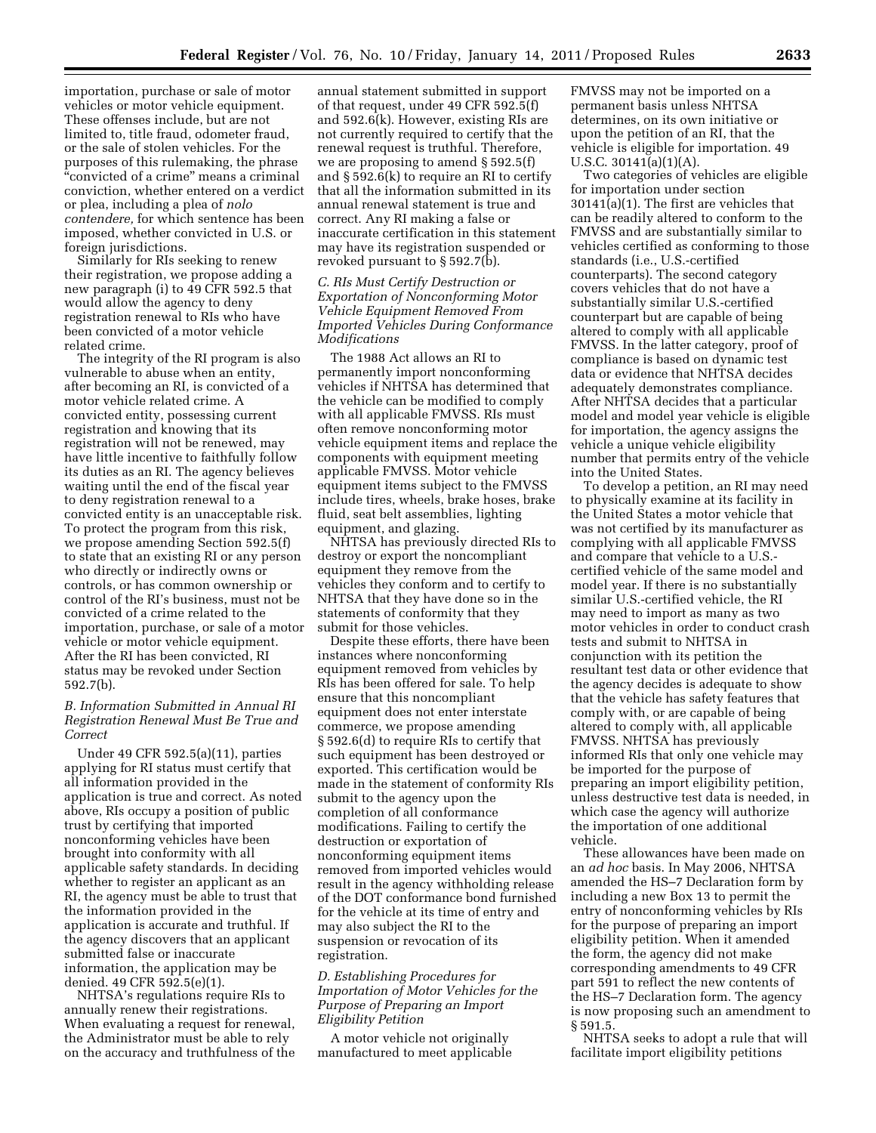importation, purchase or sale of motor vehicles or motor vehicle equipment. These offenses include, but are not limited to, title fraud, odometer fraud, or the sale of stolen vehicles. For the purposes of this rulemaking, the phrase ''convicted of a crime'' means a criminal conviction, whether entered on a verdict or plea, including a plea of *nolo contendere,* for which sentence has been imposed, whether convicted in U.S. or foreign jurisdictions.

Similarly for RIs seeking to renew their registration, we propose adding a new paragraph (i) to 49 CFR 592.5 that would allow the agency to deny registration renewal to RIs who have been convicted of a motor vehicle related crime.

The integrity of the RI program is also vulnerable to abuse when an entity, after becoming an RI, is convicted of a motor vehicle related crime. A convicted entity, possessing current registration and knowing that its registration will not be renewed, may have little incentive to faithfully follow its duties as an RI. The agency believes waiting until the end of the fiscal year to deny registration renewal to a convicted entity is an unacceptable risk. To protect the program from this risk, we propose amending Section 592.5(f) to state that an existing RI or any person who directly or indirectly owns or controls, or has common ownership or control of the RI's business, must not be convicted of a crime related to the importation, purchase, or sale of a motor vehicle or motor vehicle equipment. After the RI has been convicted, RI status may be revoked under Section 592.7(b).

## *B. Information Submitted in Annual RI Registration Renewal Must Be True and Correct*

Under 49 CFR 592.5(a)(11), parties applying for RI status must certify that all information provided in the application is true and correct. As noted above, RIs occupy a position of public trust by certifying that imported nonconforming vehicles have been brought into conformity with all applicable safety standards. In deciding whether to register an applicant as an RI, the agency must be able to trust that the information provided in the application is accurate and truthful. If the agency discovers that an applicant submitted false or inaccurate information, the application may be denied. 49 CFR 592.5(e)(1).

NHTSA's regulations require RIs to annually renew their registrations. When evaluating a request for renewal, the Administrator must be able to rely on the accuracy and truthfulness of the

annual statement submitted in support of that request, under 49 CFR 592.5(f) and 592.6(k). However, existing RIs are not currently required to certify that the renewal request is truthful. Therefore, we are proposing to amend § 592.5(f) and § 592.6(k) to require an RI to certify that all the information submitted in its annual renewal statement is true and correct. Any RI making a false or inaccurate certification in this statement may have its registration suspended or revoked pursuant to § 592.7(b).

## *C. RIs Must Certify Destruction or Exportation of Nonconforming Motor Vehicle Equipment Removed From Imported Vehicles During Conformance Modifications*

The 1988 Act allows an RI to permanently import nonconforming vehicles if NHTSA has determined that the vehicle can be modified to comply with all applicable FMVSS. RIs must often remove nonconforming motor vehicle equipment items and replace the components with equipment meeting applicable FMVSS. Motor vehicle equipment items subject to the FMVSS include tires, wheels, brake hoses, brake fluid, seat belt assemblies, lighting equipment, and glazing.

NHTSA has previously directed RIs to destroy or export the noncompliant equipment they remove from the vehicles they conform and to certify to NHTSA that they have done so in the statements of conformity that they submit for those vehicles.

Despite these efforts, there have been instances where nonconforming equipment removed from vehicles by RIs has been offered for sale. To help ensure that this noncompliant equipment does not enter interstate commerce, we propose amending § 592.6(d) to require RIs to certify that such equipment has been destroyed or exported. This certification would be made in the statement of conformity RIs submit to the agency upon the completion of all conformance modifications. Failing to certify the destruction or exportation of nonconforming equipment items removed from imported vehicles would result in the agency withholding release of the DOT conformance bond furnished for the vehicle at its time of entry and may also subject the RI to the suspension or revocation of its registration.

## *D. Establishing Procedures for Importation of Motor Vehicles for the Purpose of Preparing an Import Eligibility Petition*

A motor vehicle not originally manufactured to meet applicable FMVSS may not be imported on a permanent basis unless NHTSA determines, on its own initiative or upon the petition of an RI, that the vehicle is eligible for importation. 49 U.S.C. 30141(a)(1)(A).

Two categories of vehicles are eligible for importation under section 30141(a)(1). The first are vehicles that can be readily altered to conform to the FMVSS and are substantially similar to vehicles certified as conforming to those standards (i.e., U.S.-certified counterparts). The second category covers vehicles that do not have a substantially similar U.S.-certified counterpart but are capable of being altered to comply with all applicable FMVSS. In the latter category, proof of compliance is based on dynamic test data or evidence that NHTSA decides adequately demonstrates compliance. After NHTSA decides that a particular model and model year vehicle is eligible for importation, the agency assigns the vehicle a unique vehicle eligibility number that permits entry of the vehicle into the United States.

To develop a petition, an RI may need to physically examine at its facility in the United States a motor vehicle that was not certified by its manufacturer as complying with all applicable FMVSS and compare that vehicle to a U.S. certified vehicle of the same model and model year. If there is no substantially similar U.S.-certified vehicle, the RI may need to import as many as two motor vehicles in order to conduct crash tests and submit to NHTSA in conjunction with its petition the resultant test data or other evidence that the agency decides is adequate to show that the vehicle has safety features that comply with, or are capable of being altered to comply with, all applicable FMVSS. NHTSA has previously informed RIs that only one vehicle may be imported for the purpose of preparing an import eligibility petition, unless destructive test data is needed, in which case the agency will authorize the importation of one additional vehicle.

These allowances have been made on an *ad hoc* basis. In May 2006, NHTSA amended the HS–7 Declaration form by including a new Box 13 to permit the entry of nonconforming vehicles by RIs for the purpose of preparing an import eligibility petition. When it amended the form, the agency did not make corresponding amendments to 49 CFR part 591 to reflect the new contents of the HS–7 Declaration form. The agency is now proposing such an amendment to § 591.5.

NHTSA seeks to adopt a rule that will facilitate import eligibility petitions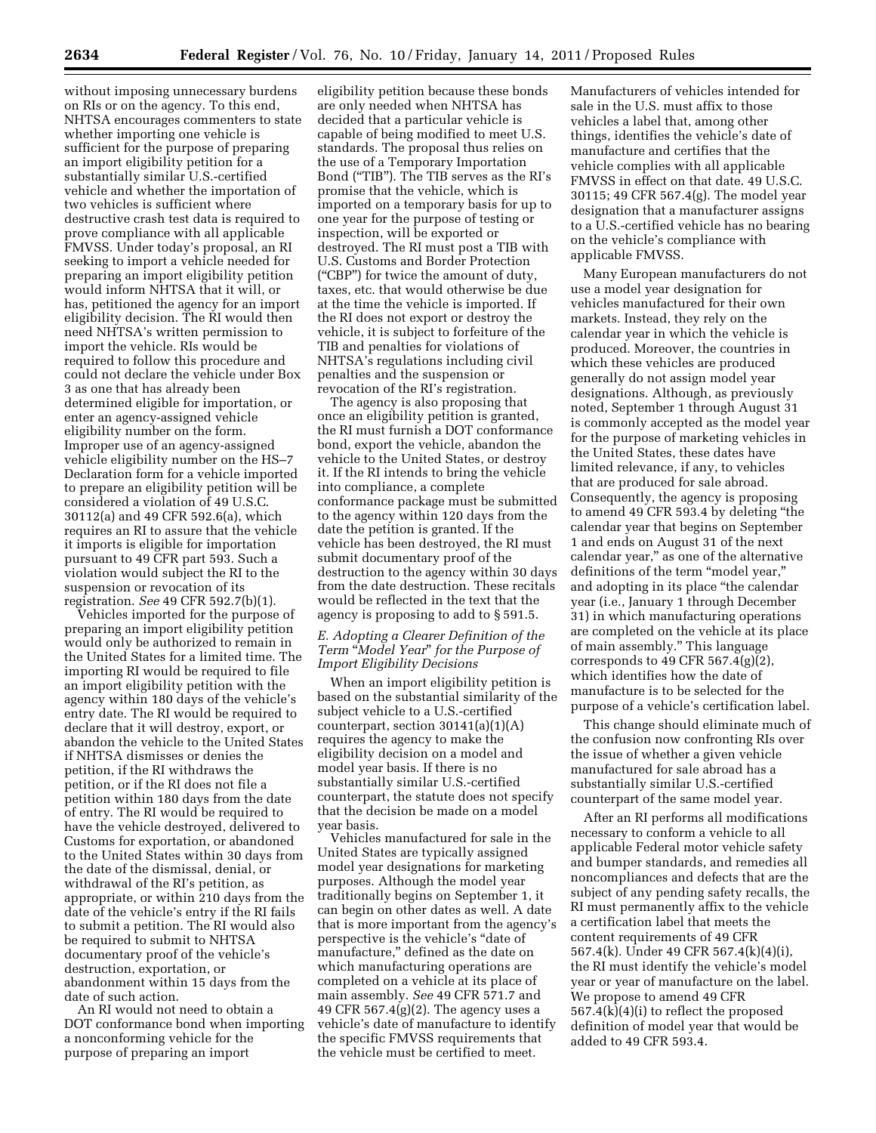without imposing unnecessary burdens on RIs or on the agency. To this end, NHTSA encourages commenters to state whether importing one vehicle is sufficient for the purpose of preparing an import eligibility petition for a substantially similar U.S.-certified vehicle and whether the importation of two vehicles is sufficient where destructive crash test data is required to prove compliance with all applicable FMVSS. Under today's proposal, an RI seeking to import a vehicle needed for preparing an import eligibility petition would inform NHTSA that it will, or has, petitioned the agency for an import eligibility decision. The RI would then need NHTSA's written permission to import the vehicle. RIs would be required to follow this procedure and could not declare the vehicle under Box 3 as one that has already been determined eligible for importation, or enter an agency-assigned vehicle eligibility number on the form. Improper use of an agency-assigned vehicle eligibility number on the HS–7 Declaration form for a vehicle imported to prepare an eligibility petition will be considered a violation of 49 U.S.C. 30112(a) and 49 CFR 592.6(a), which requires an RI to assure that the vehicle it imports is eligible for importation pursuant to 49 CFR part 593. Such a violation would subject the RI to the suspension or revocation of its registration. *See* 49 CFR 592.7(b)(1).

Vehicles imported for the purpose of preparing an import eligibility petition would only be authorized to remain in the United States for a limited time. The importing RI would be required to file an import eligibility petition with the agency within 180 days of the vehicle's entry date. The RI would be required to declare that it will destroy, export, or abandon the vehicle to the United States if NHTSA dismisses or denies the petition, if the RI withdraws the petition, or if the RI does not file a petition within 180 days from the date of entry. The RI would be required to have the vehicle destroyed, delivered to Customs for exportation, or abandoned to the United States within 30 days from the date of the dismissal, denial, or withdrawal of the RI's petition, as appropriate, or within 210 days from the date of the vehicle's entry if the RI fails to submit a petition. The RI would also be required to submit to NHTSA documentary proof of the vehicle's destruction, exportation, or abandonment within 15 days from the date of such action.

An RI would not need to obtain a DOT conformance bond when importing a nonconforming vehicle for the purpose of preparing an import

eligibility petition because these bonds are only needed when NHTSA has decided that a particular vehicle is capable of being modified to meet U.S. standards. The proposal thus relies on the use of a Temporary Importation Bond (''TIB''). The TIB serves as the RI's promise that the vehicle, which is imported on a temporary basis for up to one year for the purpose of testing or inspection, will be exported or destroyed. The RI must post a TIB with U.S. Customs and Border Protection (''CBP'') for twice the amount of duty, taxes, etc. that would otherwise be due at the time the vehicle is imported. If the RI does not export or destroy the vehicle, it is subject to forfeiture of the TIB and penalties for violations of NHTSA's regulations including civil penalties and the suspension or revocation of the RI's registration.

The agency is also proposing that once an eligibility petition is granted, the RI must furnish a DOT conformance bond, export the vehicle, abandon the vehicle to the United States, or destroy it. If the RI intends to bring the vehicle into compliance, a complete conformance package must be submitted to the agency within 120 days from the date the petition is granted. If the vehicle has been destroyed, the RI must submit documentary proof of the destruction to the agency within 30 days from the date destruction. These recitals would be reflected in the text that the agency is proposing to add to § 591.5.

## *E. Adopting a Clearer Definition of the Term* ''*Model Year*'' *for the Purpose of Import Eligibility Decisions*

When an import eligibility petition is based on the substantial similarity of the subject vehicle to a U.S.-certified counterpart, section  $30141(a)(1)(A)$ requires the agency to make the eligibility decision on a model and model year basis. If there is no substantially similar U.S.-certified counterpart, the statute does not specify that the decision be made on a model year basis.

Vehicles manufactured for sale in the United States are typically assigned model year designations for marketing purposes. Although the model year traditionally begins on September 1, it can begin on other dates as well. A date that is more important from the agency's perspective is the vehicle's ''date of manufacture,'' defined as the date on which manufacturing operations are completed on a vehicle at its place of main assembly. *See* 49 CFR 571.7 and 49 CFR  $567.4(g)(2)$ . The agency uses a vehicle's date of manufacture to identify the specific FMVSS requirements that the vehicle must be certified to meet.

Manufacturers of vehicles intended for sale in the U.S. must affix to those vehicles a label that, among other things, identifies the vehicle's date of manufacture and certifies that the vehicle complies with all applicable FMVSS in effect on that date. 49 U.S.C. 30115; 49 CFR 567.4(g). The model year designation that a manufacturer assigns to a U.S.-certified vehicle has no bearing on the vehicle's compliance with applicable FMVSS.

Many European manufacturers do not use a model year designation for vehicles manufactured for their own markets. Instead, they rely on the calendar year in which the vehicle is produced. Moreover, the countries in which these vehicles are produced generally do not assign model year designations. Although, as previously noted, September 1 through August 31 is commonly accepted as the model year for the purpose of marketing vehicles in the United States, these dates have limited relevance, if any, to vehicles that are produced for sale abroad. Consequently, the agency is proposing to amend 49 CFR 593.4 by deleting ''the calendar year that begins on September 1 and ends on August 31 of the next calendar year,'' as one of the alternative definitions of the term "model year," and adopting in its place ''the calendar year (i.e., January 1 through December 31) in which manufacturing operations are completed on the vehicle at its place of main assembly.'' This language corresponds to 49 CFR 567.4(g) $(2)$ , which identifies how the date of manufacture is to be selected for the purpose of a vehicle's certification label.

This change should eliminate much of the confusion now confronting RIs over the issue of whether a given vehicle manufactured for sale abroad has a substantially similar U.S.-certified counterpart of the same model year.

After an RI performs all modifications necessary to conform a vehicle to all applicable Federal motor vehicle safety and bumper standards, and remedies all noncompliances and defects that are the subject of any pending safety recalls, the RI must permanently affix to the vehicle a certification label that meets the content requirements of 49 CFR 567.4(k). Under 49 CFR 567.4(k)(4)(i), the RI must identify the vehicle's model year or year of manufacture on the label. We propose to amend 49 CFR 567.4(k)(4)(i) to reflect the proposed definition of model year that would be added to 49 CFR 593.4.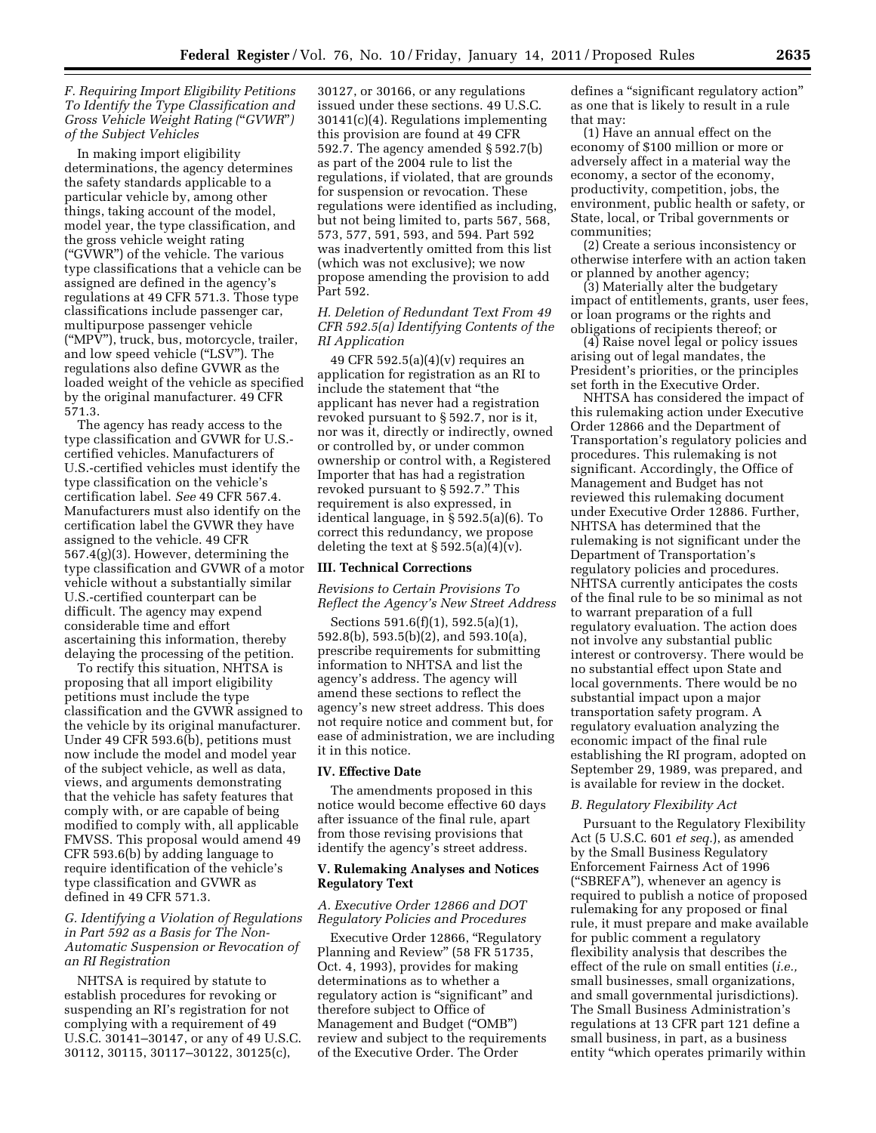## *F. Requiring Import Eligibility Petitions To Identify the Type Classification and Gross Vehicle Weight Rating (*''*GVWR*''*) of the Subject Vehicles*

In making import eligibility determinations, the agency determines the safety standards applicable to a particular vehicle by, among other things, taking account of the model, model year, the type classification, and the gross vehicle weight rating (''GVWR'') of the vehicle. The various type classifications that a vehicle can be assigned are defined in the agency's regulations at 49 CFR 571.3. Those type classifications include passenger car, multipurpose passenger vehicle (''MPV''), truck, bus, motorcycle, trailer, and low speed vehicle (''LSV''). The regulations also define GVWR as the loaded weight of the vehicle as specified by the original manufacturer. 49 CFR 571.3.

The agency has ready access to the type classification and GVWR for U.S. certified vehicles. Manufacturers of U.S.-certified vehicles must identify the type classification on the vehicle's certification label. *See* 49 CFR 567.4. Manufacturers must also identify on the certification label the GVWR they have assigned to the vehicle. 49 CFR 567.4(g)(3). However, determining the type classification and GVWR of a motor vehicle without a substantially similar U.S.-certified counterpart can be difficult. The agency may expend considerable time and effort ascertaining this information, thereby delaying the processing of the petition.

To rectify this situation, NHTSA is proposing that all import eligibility petitions must include the type classification and the GVWR assigned to the vehicle by its original manufacturer. Under 49 CFR 593.6(b), petitions must now include the model and model year of the subject vehicle, as well as data, views, and arguments demonstrating that the vehicle has safety features that comply with, or are capable of being modified to comply with, all applicable FMVSS. This proposal would amend 49 CFR 593.6(b) by adding language to require identification of the vehicle's type classification and GVWR as defined in 49 CFR 571.3.

*G. Identifying a Violation of Regulations in Part 592 as a Basis for The Non-Automatic Suspension or Revocation of an RI Registration* 

NHTSA is required by statute to establish procedures for revoking or suspending an RI's registration for not complying with a requirement of 49 U.S.C. 30141–30147, or any of 49 U.S.C. 30112, 30115, 30117–30122, 30125(c),

30127, or 30166, or any regulations issued under these sections. 49 U.S.C. 30141(c)(4). Regulations implementing this provision are found at 49 CFR 592.7. The agency amended § 592.7(b) as part of the 2004 rule to list the regulations, if violated, that are grounds for suspension or revocation. These regulations were identified as including, but not being limited to, parts 567, 568, 573, 577, 591, 593, and 594. Part 592 was inadvertently omitted from this list (which was not exclusive); we now propose amending the provision to add Part 592.

## *H. Deletion of Redundant Text From 49 CFR 592.5(a) Identifying Contents of the RI Application*

49 CFR 592.5(a)(4)(v) requires an application for registration as an RI to include the statement that ''the applicant has never had a registration revoked pursuant to § 592.7, nor is it, nor was it, directly or indirectly, owned or controlled by, or under common ownership or control with, a Registered Importer that has had a registration revoked pursuant to § 592.7.'' This requirement is also expressed, in identical language, in § 592.5(a)(6). To correct this redundancy, we propose deleting the text at  $\S 592.5(a)(4)(v)$ .

## **III. Technical Corrections**

*Revisions to Certain Provisions To Reflect the Agency's New Street Address* 

Sections 591.6(f)(1), 592.5(a)(1), 592.8(b), 593.5(b)(2), and 593.10(a), prescribe requirements for submitting information to NHTSA and list the agency's address. The agency will amend these sections to reflect the agency's new street address. This does not require notice and comment but, for ease of administration, we are including it in this notice.

#### **IV. Effective Date**

The amendments proposed in this notice would become effective 60 days after issuance of the final rule, apart from those revising provisions that identify the agency's street address.

### **V. Rulemaking Analyses and Notices Regulatory Text**

### *A. Executive Order 12866 and DOT Regulatory Policies and Procedures*

Executive Order 12866, ''Regulatory Planning and Review'' (58 FR 51735, Oct. 4, 1993), provides for making determinations as to whether a regulatory action is "significant" and therefore subject to Office of Management and Budget (''OMB'') review and subject to the requirements of the Executive Order. The Order

defines a ''significant regulatory action'' as one that is likely to result in a rule that may:

(1) Have an annual effect on the economy of \$100 million or more or adversely affect in a material way the economy, a sector of the economy, productivity, competition, jobs, the environment, public health or safety, or State, local, or Tribal governments or communities;

(2) Create a serious inconsistency or otherwise interfere with an action taken or planned by another agency;

(3) Materially alter the budgetary impact of entitlements, grants, user fees, or loan programs or the rights and obligations of recipients thereof; or

(4) Raise novel legal or policy issues arising out of legal mandates, the President's priorities, or the principles set forth in the Executive Order.

NHTSA has considered the impact of this rulemaking action under Executive Order 12866 and the Department of Transportation's regulatory policies and procedures. This rulemaking is not significant. Accordingly, the Office of Management and Budget has not reviewed this rulemaking document under Executive Order 12886. Further, NHTSA has determined that the rulemaking is not significant under the Department of Transportation's regulatory policies and procedures. NHTSA currently anticipates the costs of the final rule to be so minimal as not to warrant preparation of a full regulatory evaluation. The action does not involve any substantial public interest or controversy. There would be no substantial effect upon State and local governments. There would be no substantial impact upon a major transportation safety program. A regulatory evaluation analyzing the economic impact of the final rule establishing the RI program, adopted on September 29, 1989, was prepared, and is available for review in the docket.

### *B. Regulatory Flexibility Act*

Pursuant to the Regulatory Flexibility Act (5 U.S.C. 601 *et seq.*), as amended by the Small Business Regulatory Enforcement Fairness Act of 1996 (''SBREFA''), whenever an agency is required to publish a notice of proposed rulemaking for any proposed or final rule, it must prepare and make available for public comment a regulatory flexibility analysis that describes the effect of the rule on small entities (*i.e.,*  small businesses, small organizations, and small governmental jurisdictions). The Small Business Administration's regulations at 13 CFR part 121 define a small business, in part, as a business entity "which operates primarily within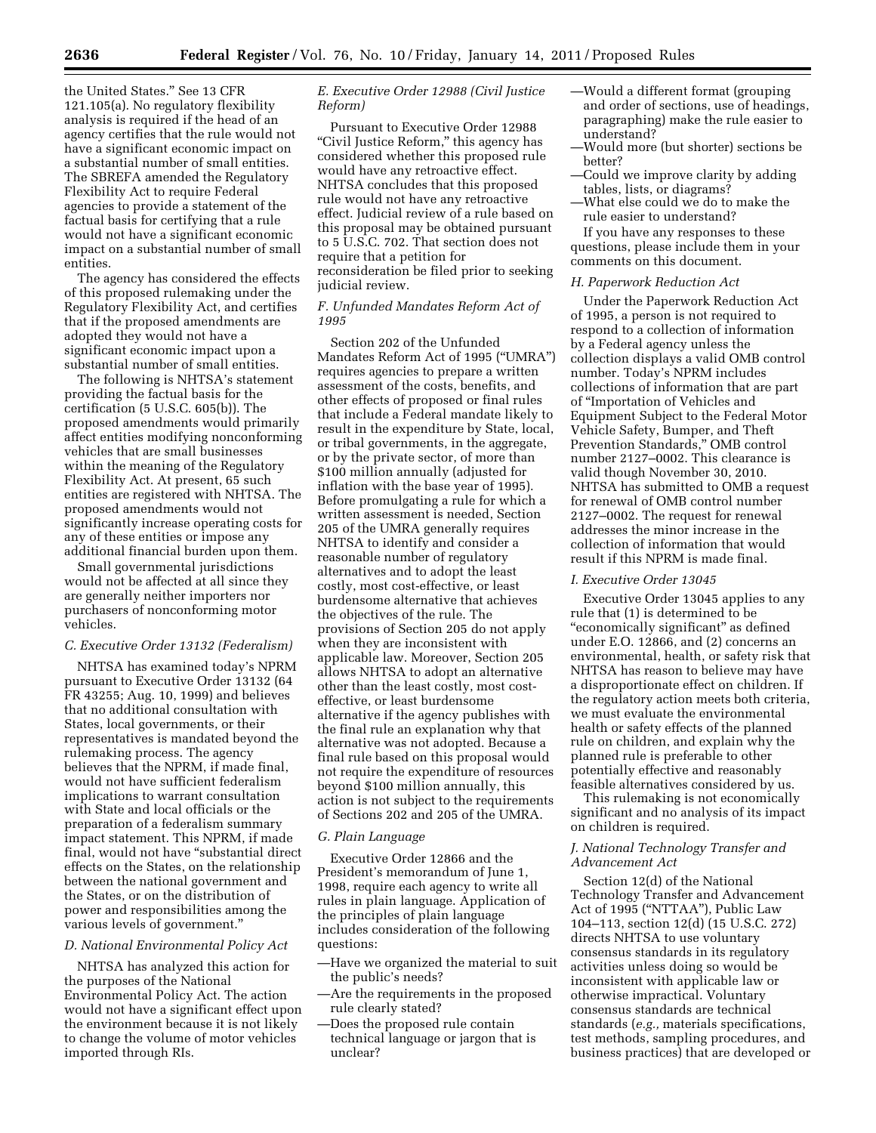the United States.'' See 13 CFR 121.105(a). No regulatory flexibility analysis is required if the head of an agency certifies that the rule would not have a significant economic impact on a substantial number of small entities. The SBREFA amended the Regulatory Flexibility Act to require Federal agencies to provide a statement of the factual basis for certifying that a rule would not have a significant economic impact on a substantial number of small entities.

The agency has considered the effects of this proposed rulemaking under the Regulatory Flexibility Act, and certifies that if the proposed amendments are adopted they would not have a significant economic impact upon a substantial number of small entities.

The following is NHTSA's statement providing the factual basis for the certification (5 U.S.C. 605(b)). The proposed amendments would primarily affect entities modifying nonconforming vehicles that are small businesses within the meaning of the Regulatory Flexibility Act. At present, 65 such entities are registered with NHTSA. The proposed amendments would not significantly increase operating costs for any of these entities or impose any additional financial burden upon them.

Small governmental jurisdictions would not be affected at all since they are generally neither importers nor purchasers of nonconforming motor vehicles.

## *C. Executive Order 13132 (Federalism)*

NHTSA has examined today's NPRM pursuant to Executive Order 13132 (64 FR 43255; Aug. 10, 1999) and believes that no additional consultation with States, local governments, or their representatives is mandated beyond the rulemaking process. The agency believes that the NPRM, if made final, would not have sufficient federalism implications to warrant consultation with State and local officials or the preparation of a federalism summary impact statement. This NPRM, if made final, would not have ''substantial direct effects on the States, on the relationship between the national government and the States, or on the distribution of power and responsibilities among the various levels of government.''

#### *D. National Environmental Policy Act*

NHTSA has analyzed this action for the purposes of the National Environmental Policy Act. The action would not have a significant effect upon the environment because it is not likely to change the volume of motor vehicles imported through RIs.

## *E. Executive Order 12988 (Civil Justice Reform)*

Pursuant to Executive Order 12988 "Civil Justice Reform," this agency has considered whether this proposed rule would have any retroactive effect. NHTSA concludes that this proposed rule would not have any retroactive effect. Judicial review of a rule based on this proposal may be obtained pursuant to 5 U.S.C. 702. That section does not require that a petition for reconsideration be filed prior to seeking judicial review.

## *F. Unfunded Mandates Reform Act of 1995*

Section 202 of the Unfunded Mandates Reform Act of 1995 (''UMRA'') requires agencies to prepare a written assessment of the costs, benefits, and other effects of proposed or final rules that include a Federal mandate likely to result in the expenditure by State, local, or tribal governments, in the aggregate, or by the private sector, of more than \$100 million annually (adjusted for inflation with the base year of 1995). Before promulgating a rule for which a written assessment is needed, Section 205 of the UMRA generally requires NHTSA to identify and consider a reasonable number of regulatory alternatives and to adopt the least costly, most cost-effective, or least burdensome alternative that achieves the objectives of the rule. The provisions of Section 205 do not apply when they are inconsistent with applicable law. Moreover, Section 205 allows NHTSA to adopt an alternative other than the least costly, most costeffective, or least burdensome alternative if the agency publishes with the final rule an explanation why that alternative was not adopted. Because a final rule based on this proposal would not require the expenditure of resources beyond \$100 million annually, this action is not subject to the requirements of Sections 202 and 205 of the UMRA.

#### *G. Plain Language*

Executive Order 12866 and the President's memorandum of June 1, 1998, require each agency to write all rules in plain language. Application of the principles of plain language includes consideration of the following questions:

- —Have we organized the material to suit the public's needs?
- —Are the requirements in the proposed rule clearly stated?
- —Does the proposed rule contain technical language or jargon that is unclear?
- —Would a different format (grouping and order of sections, use of headings, paragraphing) make the rule easier to understand?
- —Would more (but shorter) sections be better?
- —Could we improve clarity by adding tables, lists, or diagrams?
- —What else could we do to make the rule easier to understand?

If you have any responses to these questions, please include them in your comments on this document.

### *H. Paperwork Reduction Act*

Under the Paperwork Reduction Act of 1995, a person is not required to respond to a collection of information by a Federal agency unless the collection displays a valid OMB control number. Today's NPRM includes collections of information that are part of ''Importation of Vehicles and Equipment Subject to the Federal Motor Vehicle Safety, Bumper, and Theft Prevention Standards,'' OMB control number 2127–0002. This clearance is valid though November 30, 2010. NHTSA has submitted to OMB a request for renewal of OMB control number 2127–0002. The request for renewal addresses the minor increase in the collection of information that would result if this NPRM is made final.

### *I. Executive Order 13045*

Executive Order 13045 applies to any rule that (1) is determined to be "economically significant" as defined under E.O. 12866, and (2) concerns an environmental, health, or safety risk that NHTSA has reason to believe may have a disproportionate effect on children. If the regulatory action meets both criteria, we must evaluate the environmental health or safety effects of the planned rule on children, and explain why the planned rule is preferable to other potentially effective and reasonably feasible alternatives considered by us.

This rulemaking is not economically significant and no analysis of its impact on children is required.

## *J. National Technology Transfer and Advancement Act*

Section 12(d) of the National Technology Transfer and Advancement Act of 1995 (''NTTAA''), Public Law 104–113, section 12(d) (15 U.S.C. 272) directs NHTSA to use voluntary consensus standards in its regulatory activities unless doing so would be inconsistent with applicable law or otherwise impractical. Voluntary consensus standards are technical standards (*e.g.,* materials specifications, test methods, sampling procedures, and business practices) that are developed or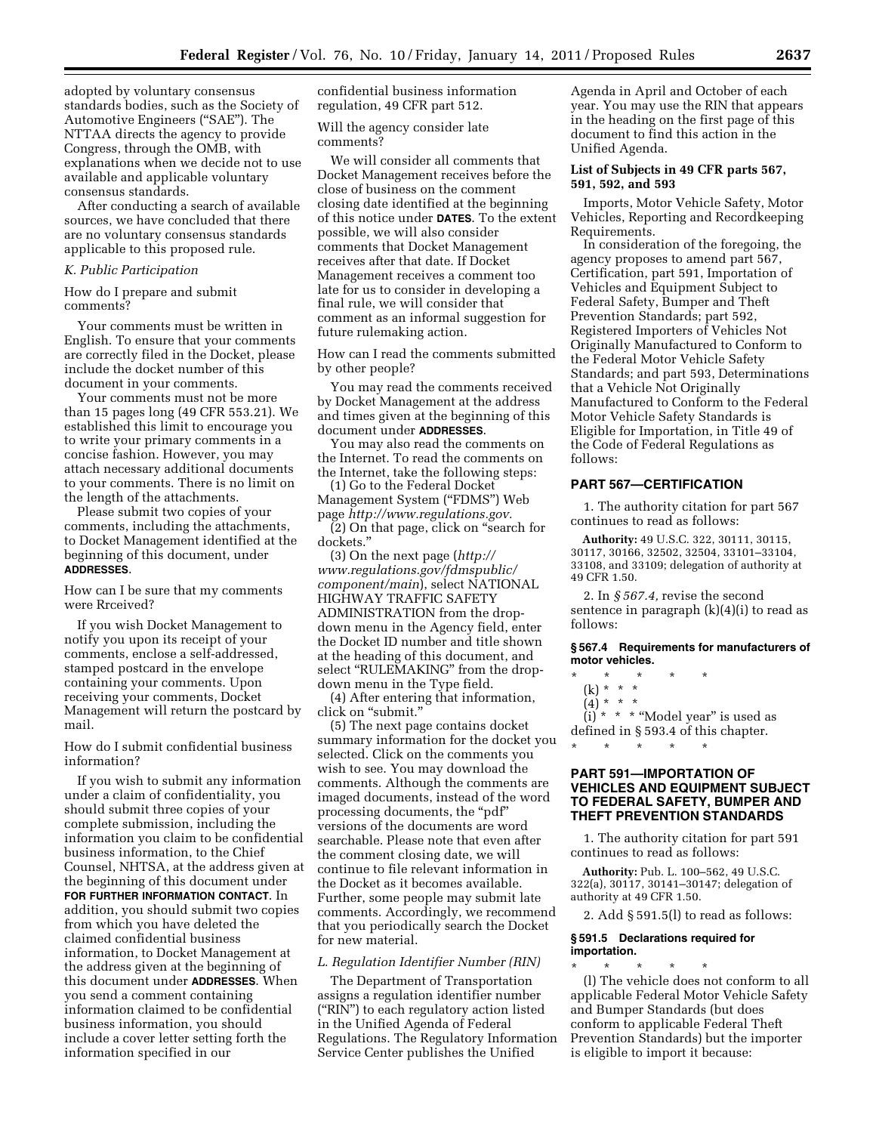adopted by voluntary consensus standards bodies, such as the Society of Automotive Engineers (''SAE''). The NTTAA directs the agency to provide Congress, through the OMB, with explanations when we decide not to use available and applicable voluntary consensus standards.

After conducting a search of available sources, we have concluded that there are no voluntary consensus standards applicable to this proposed rule.

### *K. Public Participation*

How do I prepare and submit comments?

Your comments must be written in English. To ensure that your comments are correctly filed in the Docket, please include the docket number of this document in your comments.

Your comments must not be more than 15 pages long (49 CFR 553.21). We established this limit to encourage you to write your primary comments in a concise fashion. However, you may attach necessary additional documents to your comments. There is no limit on the length of the attachments.

Please submit two copies of your comments, including the attachments, to Docket Management identified at the beginning of this document, under **ADDRESSES**.

How can I be sure that my comments were Rrceived?

If you wish Docket Management to notify you upon its receipt of your comments, enclose a self-addressed, stamped postcard in the envelope containing your comments. Upon receiving your comments, Docket Management will return the postcard by mail.

How do I submit confidential business information?

If you wish to submit any information under a claim of confidentiality, you should submit three copies of your complete submission, including the information you claim to be confidential business information, to the Chief Counsel, NHTSA, at the address given at the beginning of this document under **FOR FURTHER INFORMATION CONTACT**. In addition, you should submit two copies from which you have deleted the claimed confidential business information, to Docket Management at the address given at the beginning of this document under **ADDRESSES**. When you send a comment containing information claimed to be confidential business information, you should include a cover letter setting forth the information specified in our

confidential business information regulation, 49 CFR part 512.

Will the agency consider late comments?

We will consider all comments that Docket Management receives before the close of business on the comment closing date identified at the beginning of this notice under **DATES**. To the extent possible, we will also consider comments that Docket Management receives after that date. If Docket Management receives a comment too late for us to consider in developing a final rule, we will consider that comment as an informal suggestion for future rulemaking action.

How can I read the comments submitted by other people?

You may read the comments received by Docket Management at the address and times given at the beginning of this document under **ADDRESSES**.

You may also read the comments on the Internet. To read the comments on the Internet, take the following steps:

(1) Go to the Federal Docket Management System ("FDMS") Web page *[http://www.regulations.gov.](http://www.regulations.gov)* 

(2) On that page, click on ''search for dockets.''

(3) On the next page (*[http://](http://www.regulations.gov/fdmspublic/component/main) [www.regulations.gov/fdmspublic/](http://www.regulations.gov/fdmspublic/component/main)  [component/main](http://www.regulations.gov/fdmspublic/component/main)*), select NATIONAL HIGHWAY TRAFFIC SAFETY ADMINISTRATION from the dropdown menu in the Agency field, enter the Docket ID number and title shown at the heading of this document, and select "RULEMAKING" from the dropdown menu in the Type field.

(4) After entering that information, click on ''submit.''

(5) The next page contains docket summary information for the docket you selected. Click on the comments you wish to see. You may download the comments. Although the comments are imaged documents, instead of the word processing documents, the ''pdf'' versions of the documents are word searchable. Please note that even after the comment closing date, we will continue to file relevant information in the Docket as it becomes available. Further, some people may submit late comments. Accordingly, we recommend that you periodically search the Docket for new material.

#### *L. Regulation Identifier Number (RIN)*

The Department of Transportation assigns a regulation identifier number (''RIN'') to each regulatory action listed in the Unified Agenda of Federal Regulations. The Regulatory Information Service Center publishes the Unified

Agenda in April and October of each year. You may use the RIN that appears in the heading on the first page of this document to find this action in the Unified Agenda.

## **List of Subjects in 49 CFR parts 567, 591, 592, and 593**

Imports, Motor Vehicle Safety, Motor Vehicles, Reporting and Recordkeeping Requirements.

In consideration of the foregoing, the agency proposes to amend part 567, Certification, part 591, Importation of Vehicles and Equipment Subject to Federal Safety, Bumper and Theft Prevention Standards; part 592, Registered Importers of Vehicles Not Originally Manufactured to Conform to the Federal Motor Vehicle Safety Standards; and part 593, Determinations that a Vehicle Not Originally Manufactured to Conform to the Federal Motor Vehicle Safety Standards is Eligible for Importation, in Title 49 of the Code of Federal Regulations as follows:

### **PART 567—CERTIFICATION**

1. The authority citation for part 567 continues to read as follows:

**Authority:** 49 U.S.C. 322, 30111, 30115, 30117, 30166, 32502, 32504, 33101–33104, 33108, and 33109; delegation of authority at 49 CFR 1.50.

2. In *§ 567.4,* revise the second sentence in paragraph  $(k)(4)(i)$  to read as follows:

**§ 567.4 Requirements for manufacturers of motor vehicles.** 

### \* \* \* \* \*

\* \* \* \* \*

(k) \* \* \*

(4) \* \* \* (i) \* \* \* ''Model year'' is used as defined in § 593.4 of this chapter.

# **PART 591—IMPORTATION OF VEHICLES AND EQUIPMENT SUBJECT TO FEDERAL SAFETY, BUMPER AND THEFT PREVENTION STANDARDS**

1. The authority citation for part 591 continues to read as follows:

**Authority:** Pub. L. 100–562, 49 U.S.C. 322(a), 30117, 30141–30147; delegation of authority at 49 CFR 1.50.

2. Add § 591.5(l) to read as follows:

#### **§ 591.5 Declarations required for importation.**

\* \* \* \* \* (l) The vehicle does not conform to all applicable Federal Motor Vehicle Safety and Bumper Standards (but does conform to applicable Federal Theft Prevention Standards) but the importer is eligible to import it because: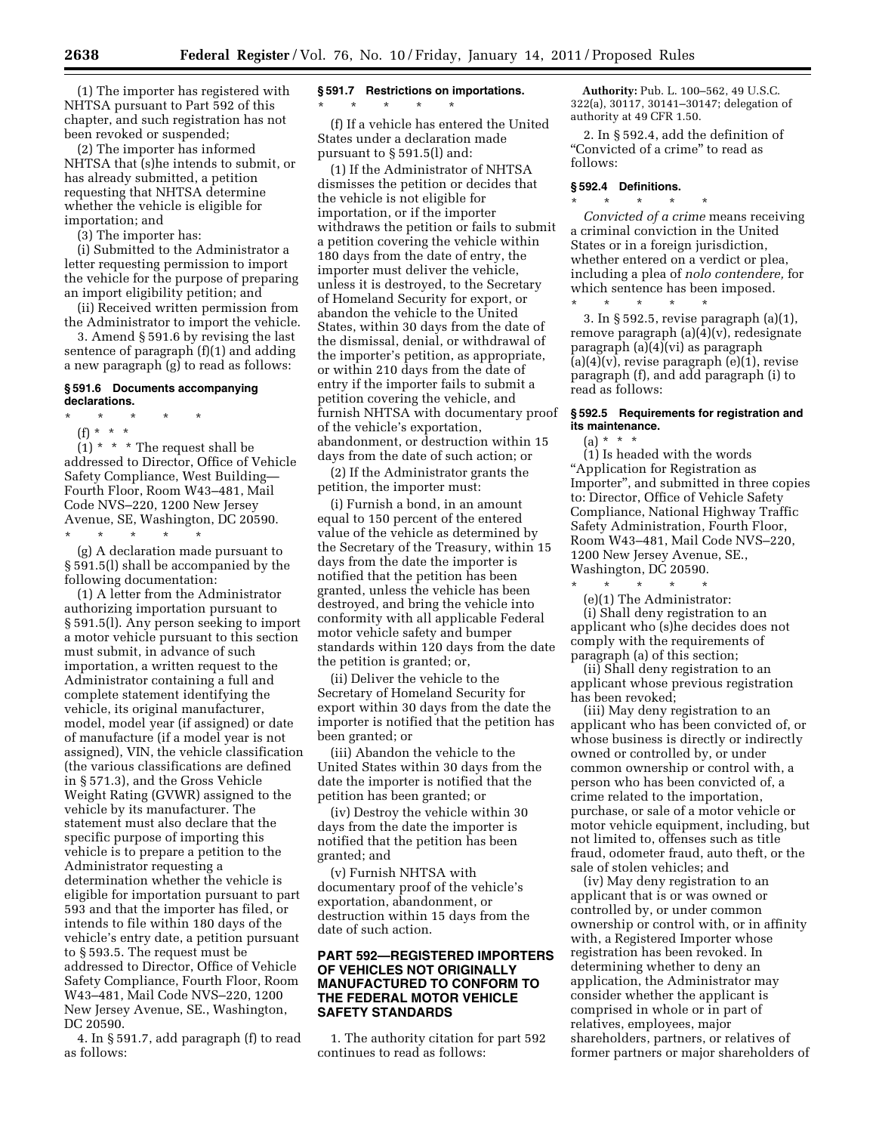(1) The importer has registered with NHTSA pursuant to Part 592 of this chapter, and such registration has not been revoked or suspended;

(2) The importer has informed NHTSA that (s)he intends to submit, or has already submitted, a petition requesting that NHTSA determine whether the vehicle is eligible for importation; and

(3) The importer has:

(i) Submitted to the Administrator a letter requesting permission to import the vehicle for the purpose of preparing an import eligibility petition; and

(ii) Received written permission from the Administrator to import the vehicle.

3. Amend § 591.6 by revising the last sentence of paragraph (f)(1) and adding a new paragraph (g) to read as follows:

### **§ 591.6 Documents accompanying declarations.**

- \* \* \* \* \*
- (f) \* \* \*

 $(1)$  \* \* \* The request shall be addressed to Director, Office of Vehicle Safety Compliance, West Building— Fourth Floor, Room W43–481, Mail Code NVS–220, 1200 New Jersey Avenue, SE, Washington, DC 20590. \* \* \* \* \*

(g) A declaration made pursuant to § 591.5(l) shall be accompanied by the following documentation:

(1) A letter from the Administrator authorizing importation pursuant to § 591.5(l). Any person seeking to import a motor vehicle pursuant to this section must submit, in advance of such importation, a written request to the Administrator containing a full and complete statement identifying the vehicle, its original manufacturer, model, model year (if assigned) or date of manufacture (if a model year is not assigned), VIN, the vehicle classification (the various classifications are defined in § 571.3), and the Gross Vehicle Weight Rating (GVWR) assigned to the vehicle by its manufacturer. The statement must also declare that the specific purpose of importing this vehicle is to prepare a petition to the Administrator requesting a determination whether the vehicle is eligible for importation pursuant to part 593 and that the importer has filed, or intends to file within 180 days of the vehicle's entry date, a petition pursuant to § 593.5. The request must be addressed to Director, Office of Vehicle Safety Compliance, Fourth Floor, Room W43–481, Mail Code NVS–220, 1200 New Jersey Avenue, SE., Washington, DC 20590.

4. In § 591.7, add paragraph (f) to read as follows:

# **§ 591.7 Restrictions on importations.**

\* \* \* \* \* (f) If a vehicle has entered the United States under a declaration made pursuant to § 591.5(l) and:

(1) If the Administrator of NHTSA dismisses the petition or decides that the vehicle is not eligible for importation, or if the importer withdraws the petition or fails to submit a petition covering the vehicle within 180 days from the date of entry, the importer must deliver the vehicle, unless it is destroyed, to the Secretary of Homeland Security for export, or abandon the vehicle to the United States, within 30 days from the date of the dismissal, denial, or withdrawal of the importer's petition, as appropriate, or within 210 days from the date of entry if the importer fails to submit a petition covering the vehicle, and furnish NHTSA with documentary proof of the vehicle's exportation, abandonment, or destruction within 15 days from the date of such action; or

(2) If the Administrator grants the petition, the importer must:

(i) Furnish a bond, in an amount equal to 150 percent of the entered value of the vehicle as determined by the Secretary of the Treasury, within 15 days from the date the importer is notified that the petition has been granted, unless the vehicle has been destroyed, and bring the vehicle into conformity with all applicable Federal motor vehicle safety and bumper standards within 120 days from the date the petition is granted; or,

(ii) Deliver the vehicle to the Secretary of Homeland Security for export within 30 days from the date the importer is notified that the petition has been granted; or

(iii) Abandon the vehicle to the United States within 30 days from the date the importer is notified that the petition has been granted; or

(iv) Destroy the vehicle within 30 days from the date the importer is notified that the petition has been granted; and

(v) Furnish NHTSA with documentary proof of the vehicle's exportation, abandonment, or destruction within 15 days from the date of such action.

## **PART 592—REGISTERED IMPORTERS OF VEHICLES NOT ORIGINALLY MANUFACTURED TO CONFORM TO THE FEDERAL MOTOR VEHICLE SAFETY STANDARDS**

1. The authority citation for part 592 continues to read as follows:

**Authority:** Pub. L. 100–562, 49 U.S.C. 322(a), 30117, 30141–30147; delegation of authority at 49 CFR 1.50.

2. In § 592.4, add the definition of "Convicted of a crime" to read as follows:

### **§ 592.4 Definitions.**

\* \* \* \* \* *Convicted of a crime* means receiving a criminal conviction in the United States or in a foreign jurisdiction, whether entered on a verdict or plea, including a plea of *nolo contendere,* for which sentence has been imposed.

\* \* \* \* \* 3. In § 592.5, revise paragraph (a)(1), remove paragraph (a)(4)(v), redesignate paragraph (a)(4)(vi) as paragraph  $(a)(4)(v)$ , revise paragraph  $(e)(1)$ , revise paragraph (f), and add paragraph (i) to read as follows:

## **§ 592.5 Requirements for registration and its maintenance.**

 $(a) * * * *$ 

(1) Is headed with the words ''Application for Registration as Importer'', and submitted in three copies to: Director, Office of Vehicle Safety Compliance, National Highway Traffic Safety Administration, Fourth Floor, Room W43–481, Mail Code NVS–220, 1200 New Jersey Avenue, SE., Washington, DC 20590.

\* \* \* \* \* (e)(1) The Administrator: (i) Shall deny registration to an

applicant who (s)he decides does not comply with the requirements of paragraph (a) of this section;

(ii) Shall deny registration to an applicant whose previous registration has been revoked;

(iii) May deny registration to an applicant who has been convicted of, or whose business is directly or indirectly owned or controlled by, or under common ownership or control with, a person who has been convicted of, a crime related to the importation, purchase, or sale of a motor vehicle or motor vehicle equipment, including, but not limited to, offenses such as title fraud, odometer fraud, auto theft, or the sale of stolen vehicles; and

(iv) May deny registration to an applicant that is or was owned or controlled by, or under common ownership or control with, or in affinity with, a Registered Importer whose registration has been revoked. In determining whether to deny an application, the Administrator may consider whether the applicant is comprised in whole or in part of relatives, employees, major shareholders, partners, or relatives of former partners or major shareholders of